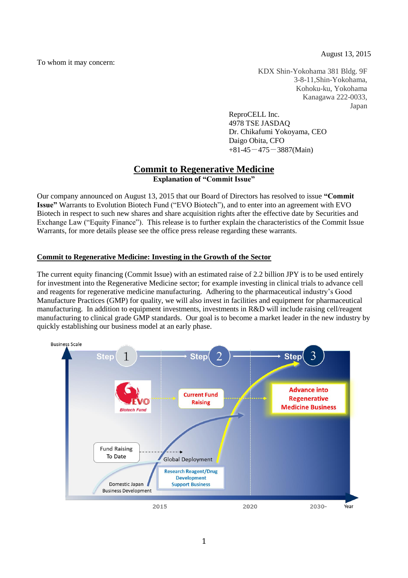August 13, 2015

To whom it may concern:

KDX Shin-Yokohama 381 Bldg. 9F 3-8-11,Shin-Yokohama, Kohoku-ku, Yokohama Kanagawa 222-0033, Japan

ReproCELL Inc. 4978 TSE JASDAQ Dr. Chikafumi Yokoyama, CEO Daigo Obita, CFO  $+81-45-475-3887(Main)$ 

# **Commit to Regenerative Medicine**

**Explanation of "Commit Issue"**

Our company announced on August 13, 2015 that our Board of Directors has resolved to issue **"Commit Issue"** Warrants to Evolution Biotech Fund ("EVO Biotech"), and to enter into an agreement with EVO Biotech in respect to such new shares and share acquisition rights after the effective date by Securities and Exchange Law ("Equity Finance"). This release is to further explain the characteristics of the Commit Issue Warrants, for more details please see the office press release regarding these warrants.

## **Commit to Regenerative Medicine: Investing in the Growth of the Sector**

The current equity financing (Commit Issue) with an estimated raise of 2.2 billion JPY is to be used entirely for investment into the Regenerative Medicine sector; for example investing in clinical trials to advance cell and reagents for regenerative medicine manufacturing. Adhering to the pharmaceutical industry's Good Manufacture Practices (GMP) for quality, we will also invest in facilities and equipment for pharmaceutical manufacturing. In addition to equipment investments, investments in R&D will include raising cell/reagent manufacturing to clinical grade GMP standards. Our goal is to become a market leader in the new industry by quickly establishing our business model at an early phase.

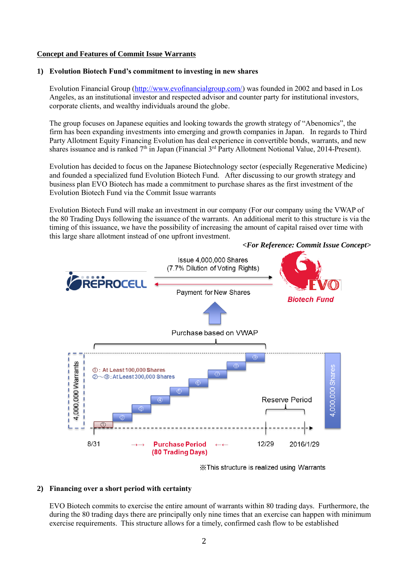## **Concept and Features of Commit Issue Warrants**

## **1) Evolution Biotech Fund's commitment to investing in new shares**

Evolution Financial Group [\(http://www.evofinancialgroup.com/\)](http://www.evofinancialgroup.com/) was founded in 2002 and based in Los Angeles, as an institutional investor and respected advisor and counter party for institutional investors, corporate clients, and wealthy individuals around the globe.

The group focuses on Japanese equities and looking towards the growth strategy of "Abenomics", the firm has been expanding investments into emerging and growth companies in Japan. In regards to Third Party Allotment Equity Financing Evolution has deal experience in convertible bonds, warrants, and new shares issuance and is ranked  $7<sup>th</sup>$  in Japan (Financial  $3<sup>rd</sup>$  Party Allotment Notional Value, 2014-Present).

Evolution has decided to focus on the Japanese Biotechnology sector (especially Regenerative Medicine) and founded a specialized fund Evolution Biotech Fund. After discussing to our growth strategy and business plan EVO Biotech has made a commitment to purchase shares as the first investment of the Evolution Biotech Fund via the Commit Issue warrants

Evolution Biotech Fund will make an investment in our company (For our company using the VWAP of the 80 Trading Days following the issuance of the warrants. An additional merit to this structure is via the timing of this issuance, we have the possibility of increasing the amount of capital raised over time with this large share allotment instead of one upfront investment.



#### *<For Reference: Commit Issue Concept>*

X This structure is realized using Warrants

## **2) Financing over a short period with certainty**

EVO Biotech commits to exercise the entire amount of warrants within 80 trading days. Furthermore, the during the 80 trading days there are principally only nine times that an exercise can happen with minimum exercise requirements. This structure allows for a timely, confirmed cash flow to be established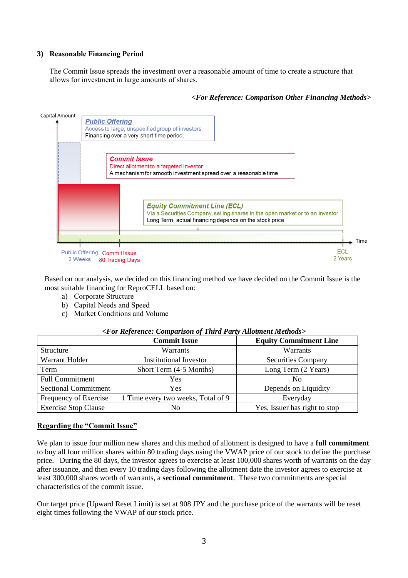## **3) Reasonable Financing Period**

The Commit Issue spreads the investment over a reasonable amount of time to create a structure that allows for investment in large amounts of shares.

## *<For Reference: Comparison Other Financing Methods>*



Based on our analysis, we decided on this financing method we have decided on the Commit Issue is the most suitable financing for ReproCELL based on:

- a) Corporate Structure
- b) Capital Needs and Speed
- c) Market Conditions and Volume

| $\alpha$ or indicate comparison of the a they rindment means of |                                    |                               |
|-----------------------------------------------------------------|------------------------------------|-------------------------------|
|                                                                 | <b>Commit Issue</b>                | <b>Equity Commitment Line</b> |
| Structure                                                       | Warrants                           | Warrants                      |
| Warrant Holder                                                  | <b>Institutional Investor</b>      | <b>Securities Company</b>     |
| Term                                                            | Short Term (4-5 Months)            | Long Term (2 Years)           |
| <b>Full Commitment</b>                                          | Yes                                | N <sub>0</sub>                |
| <b>Sectional Commitment</b>                                     | Yes                                | Depends on Liquidity          |
| Frequency of Exercise                                           | 1 Time every two weeks, Total of 9 | Everyday                      |
| <b>Exercise Stop Clause</b>                                     | No                                 | Yes, Issuer has right to stop |

#### *<For Reference: Comparison of Third Party Allotment Methods>*

#### **Regarding the "Commit Issue"**

We plan to issue four million new shares and this method of allotment is designed to have a **full commitment**  to buy all four million shares within 80 trading days using the VWAP price of our stock to define the purchase price. During the 80 days, the investor agrees to exercise at least 100,000 shares worth of warrants on the day after issuance, and then every 10 trading days following the allotment date the investor agrees to exercise at least 300,000 shares worth of warrants, a **sectional commitment**. These two commitments are special characteristics of the commit issue.

Our target price (Upward Reset Limit) is set at 908 JPY and the purchase price of the warrants will be reset eight times following the VWAP of our stock price.